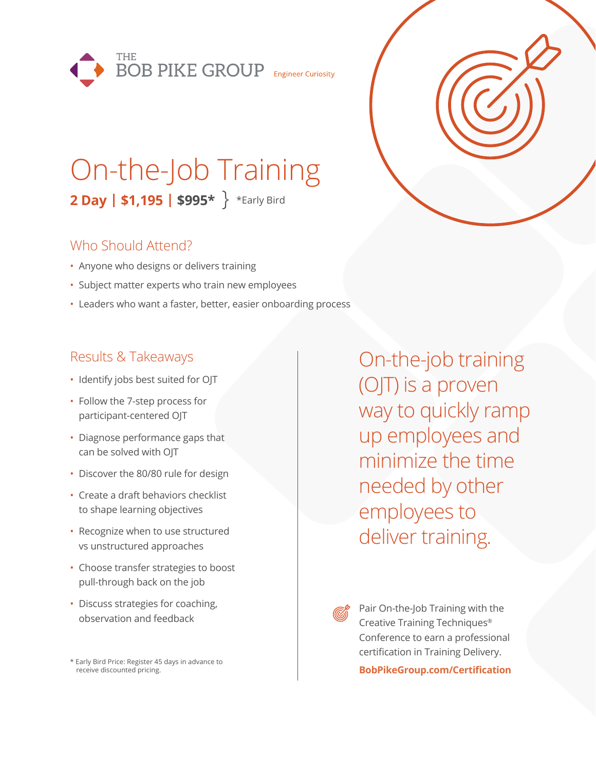

# On-the-Job Training **2 Day | \$1,195 | \$995\*** \*Early Bird

### Who Should Attend?

- Anyone who designs or delivers training
- Subject matter experts who train new employees
- Leaders who want a faster, better, easier onboarding process

### Results & Takeaways

- Identify jobs best suited for OJT
- Follow the 7-step process for participant-centered OJT
- Diagnose performance gaps that can be solved with OJT
- Discover the 80/80 rule for design
- Create a draft behaviors checklist to shape learning objectives
- Recognize when to use structured vs unstructured approaches
- Choose transfer strategies to boost pull-through back on the job
- Discuss strategies for coaching, observation and feedback

\* Early Bird Price: Register 45 days in advance to receive discounted pricing.

On-the-job training (OJT) is a proven way to quickly ramp up employees and minimize the time needed by other employees to deliver training.

Pair On-the-Job Training with the Creative Training Techniques® Conference to earn a professional certification in Training Delivery.

**BobPikeGroup.com/Certification**